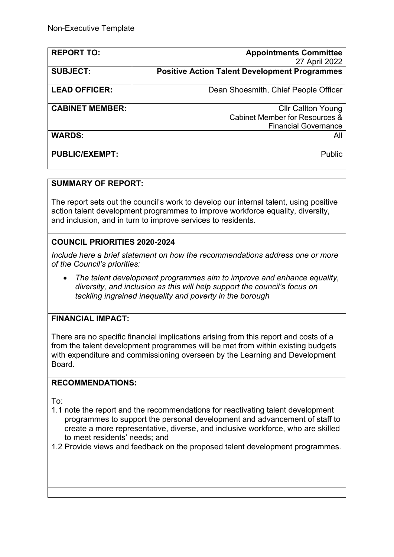| <b>REPORT TO:</b>      | <b>Appointments Committee</b>                        |
|------------------------|------------------------------------------------------|
|                        | 27 April 2022                                        |
| <b>SUBJECT:</b>        | <b>Positive Action Talent Development Programmes</b> |
| <b>LEAD OFFICER:</b>   | Dean Shoesmith, Chief People Officer                 |
|                        |                                                      |
| <b>CABINET MEMBER:</b> | <b>CIIr Callton Young</b>                            |
|                        | Cabinet Member for Resources &                       |
|                        | <b>Financial Governance</b>                          |
| <b>WARDS:</b>          | All                                                  |
| <b>PUBLIC/EXEMPT:</b>  | Public                                               |
|                        |                                                      |

### **SUMMARY OF REPORT:**

The report sets out the council's work to develop our internal talent, using positive action talent development programmes to improve workforce equality, diversity, and inclusion, and in turn to improve services to residents.

## **COUNCIL PRIORITIES 2020-2024**

*Include here a brief statement on how the recommendations address one or more of the Council's priorities:* 

 *The talent development programmes aim to improve and enhance equality, diversity, and inclusion as this will help support the council's focus on tackling ingrained inequality and poverty in the borough*

### **FINANCIAL IMPACT:**

There are no specific financial implications arising from this report and costs of a from the talent development programmes will be met from within existing budgets with expenditure and commissioning overseen by the Learning and Development Board.

### **RECOMMENDATIONS:**

To:

- 1.1 note the report and the recommendations for reactivating talent development programmes to support the personal development and advancement of staff to create a more representative, diverse, and inclusive workforce, who are skilled to meet residents' needs; and
- 1.2 Provide views and feedback on the proposed talent development programmes.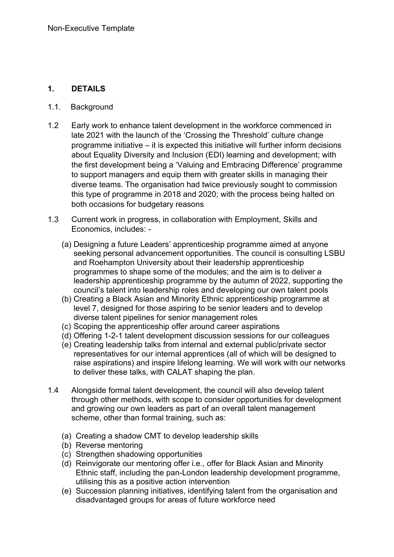### **1. DETAILS**

- 1.1.Background
- 1.2 Early work to enhance talent development in the workforce commenced in late 2021 with the launch of the 'Crossing the Threshold' culture change programme initiative – it is expected this initiative will further inform decisions about Equality Diversity and Inclusion (EDI) learning and development; with the first development being a 'Valuing and Embracing Difference' programme to support managers and equip them with greater skills in managing their diverse teams. The organisation had twice previously sought to commission this type of programme in 2018 and 2020; with the process being halted on both occasions for budgetary reasons
- 1.3 Current work in progress, in collaboration with Employment, Skills and Economics, includes: -
	- (a) Designing a future Leaders' apprenticeship programme aimed at anyone seeking personal advancement opportunities. The council is consulting LSBU and Roehampton University about their leadership apprenticeship programmes to shape some of the modules; and the aim is to deliver a leadership apprenticeship programme by the autumn of 2022, supporting the council's talent into leadership roles and developing our own talent pools
	- (b) Creating a Black Asian and Minority Ethnic apprenticeship programme at level 7, designed for those aspiring to be senior leaders and to develop diverse talent pipelines for senior management roles
	- (c) Scoping the apprenticeship offer around career aspirations
	- (d) Offering 1-2-1 talent development discussion sessions for our colleagues
	- (e) Creating leadership talks from internal and external public/private sector representatives for our internal apprentices (all of which will be designed to raise aspirations) and inspire lifelong learning. We will work with our networks to deliver these talks, with CALAT shaping the plan.
- 1.4 Alongside formal talent development, the council will also develop talent through other methods, with scope to consider opportunities for development and growing our own leaders as part of an overall talent management scheme, other than formal training, such as:
	- (a) Creating a shadow CMT to develop leadership skills
	- (b) Reverse mentoring
	- (c) Strengthen shadowing opportunities
	- (d) Reinvigorate our mentoring offer i.e., offer for Black Asian and Minority Ethnic staff, including the pan-London leadership development programme, utilising this as a positive action intervention
	- (e) Succession planning initiatives, identifying talent from the organisation and disadvantaged groups for areas of future workforce need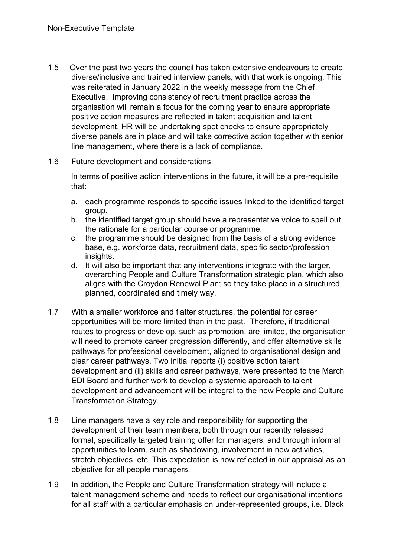1.5 Over the past two years the council has taken extensive endeavours to create diverse/inclusive and trained interview panels, with that work is ongoing. This was reiterated in January 2022 in the weekly message from the Chief Executive. Improving consistency of recruitment practice across the organisation will remain a focus for the coming year to ensure appropriate positive action measures are reflected in talent acquisition and talent development. HR will be undertaking spot checks to ensure appropriately diverse panels are in place and will take corrective action together with senior line management, where there is a lack of compliance.

#### 1.6 Future development and considerations

In terms of positive action interventions in the future, it will be a pre-requisite that:

- a. each programme responds to specific issues linked to the identified target group.
- b. the identified target group should have a representative voice to spell out the rationale for a particular course or programme.
- c. the programme should be designed from the basis of a strong evidence base, e.g. workforce data, recruitment data, specific sector/profession insights.
- d. It will also be important that any interventions integrate with the larger, overarching People and Culture Transformation strategic plan, which also aligns with the Croydon Renewal Plan; so they take place in a structured, planned, coordinated and timely way.
- 1.7 With a smaller workforce and flatter structures, the potential for career opportunities will be more limited than in the past. Therefore, if traditional routes to progress or develop, such as promotion, are limited, the organisation will need to promote career progression differently, and offer alternative skills pathways for professional development, aligned to organisational design and clear career pathways. Two initial reports (i) positive action talent development and (ii) skills and career pathways, were presented to the March EDI Board and further work to develop a systemic approach to talent development and advancement will be integral to the new People and Culture Transformation Strategy.
- 1.8 Line managers have a key role and responsibility for supporting the development of their team members; both through our recently released formal, specifically targeted training offer for managers, and through informal opportunities to learn, such as shadowing, involvement in new activities, stretch objectives, etc. This expectation is now reflected in our appraisal as an objective for all people managers.
- 1.9 In addition, the People and Culture Transformation strategy will include a talent management scheme and needs to reflect our organisational intentions for all staff with a particular emphasis on under-represented groups, i.e. Black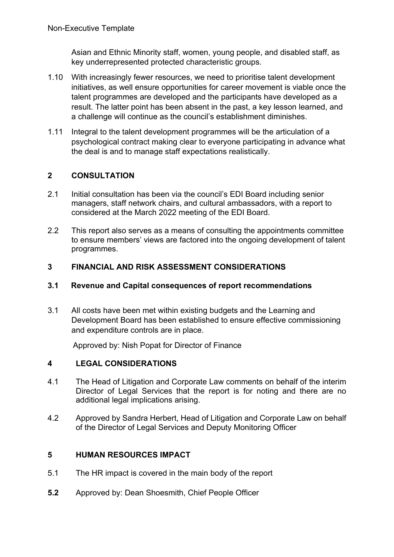Asian and Ethnic Minority staff, women, young people, and disabled staff, as key underrepresented protected characteristic groups.

- 1.10 With increasingly fewer resources, we need to prioritise talent development initiatives, as well ensure opportunities for career movement is viable once the talent programmes are developed and the participants have developed as a result. The latter point has been absent in the past, a key lesson learned, and a challenge will continue as the council's establishment diminishes.
- 1.11 Integral to the talent development programmes will be the articulation of a psychological contract making clear to everyone participating in advance what the deal is and to manage staff expectations realistically.

## **2 CONSULTATION**

- 2.1 Initial consultation has been via the council's EDI Board including senior managers, staff network chairs, and cultural ambassadors, with a report to considered at the March 2022 meeting of the EDI Board.
- 2.2 This report also serves as a means of consulting the appointments committee to ensure members' views are factored into the ongoing development of talent programmes.

### **3 FINANCIAL AND RISK ASSESSMENT CONSIDERATIONS**

#### **3.1 Revenue and Capital consequences of report recommendations**

3.1 All costs have been met within existing budgets and the Learning and Development Board has been established to ensure effective commissioning and expenditure controls are in place.

Approved by: Nish Popat for Director of Finance

### **4 LEGAL CONSIDERATIONS**

- 4.1 The Head of Litigation and Corporate Law comments on behalf of the interim Director of Legal Services that the report is for noting and there are no additional legal implications arising.
- 4.2 Approved by Sandra Herbert, Head of Litigation and Corporate Law on behalf of the Director of Legal Services and Deputy Monitoring Officer

### **5 HUMAN RESOURCES IMPACT**

- 5.1 The HR impact is covered in the main body of the report
- **5.2** Approved by: Dean Shoesmith, Chief People Officer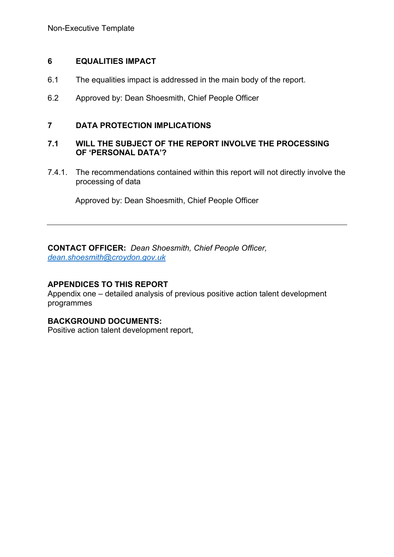### **6 EQUALITIES IMPACT**

- 6.1 The equalities impact is addressed in the main body of the report.
- 6.2 Approved by: Dean Shoesmith, Chief People Officer

### **7 DATA PROTECTION IMPLICATIONS**

### **7.1 WILL THE SUBJECT OF THE REPORT INVOLVE THE PROCESSING OF 'PERSONAL DATA'?**

7.4.1. The recommendations contained within this report will not directly involve the processing of data

Approved by: Dean Shoesmith, Chief People Officer

**CONTACT OFFICER:** *Dean Shoesmith, Chief People Officer, [dean.shoesmith@croydon.gov.uk](mailto:dean.shoesmith@croydon.gov.uk)*

### **APPENDICES TO THIS REPORT**

Appendix one – detailed analysis of previous positive action talent development programmes

### **BACKGROUND DOCUMENTS:**

Positive action talent development report,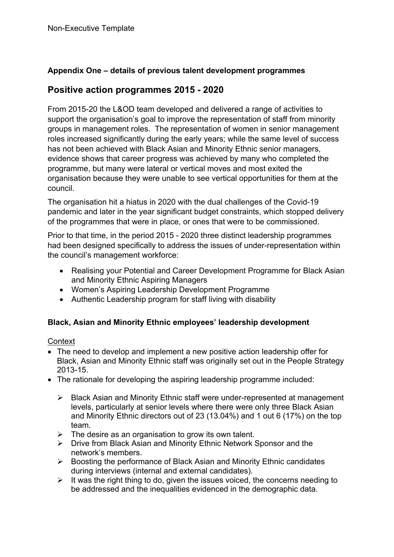## **Appendix One – details of previous talent development programmes**

## **Positive action programmes 2015 - 2020**

From 2015-20 the L&OD team developed and delivered a range of activities to support the organisation's goal to improve the representation of staff from minority groups in management roles. The representation of women in senior management roles increased significantly during the early years; while the same level of success has not been achieved with Black Asian and Minority Ethnic senior managers, evidence shows that career progress was achieved by many who completed the programme, but many were lateral or vertical moves and most exited the organisation because they were unable to see vertical opportunities for them at the council.

The organisation hit a hiatus in 2020 with the dual challenges of the Covid-19 pandemic and later in the year significant budget constraints, which stopped delivery of the programmes that were in place, or ones that were to be commissioned.

Prior to that time, in the period 2015 - 2020 three distinct leadership programmes had been designed specifically to address the issues of under-representation within the council's management workforce:

- Realising your Potential and Career Development Programme for Black Asian and Minority Ethnic Aspiring Managers
- Women's Aspiring Leadership Development Programme
- Authentic Leadership program for staff living with disability

### **Black, Asian and Minority Ethnic employees' leadership development**

### **Context**

- The need to develop and implement a new positive action leadership offer for Black, Asian and Minority Ethnic staff was originally set out in the People Strategy 2013-15.
- The rationale for developing the aspiring leadership programme included:
	- $\triangleright$  Black Asian and Minority Ethnic staff were under-represented at management levels, particularly at senior levels where there were only three Black Asian and Minority Ethnic directors out of 23 (13.04%) and 1 out 6 (17%) on the top team.
	- $\triangleright$  The desire as an organisation to grow its own talent.
	- Drive from Black Asian and Minority Ethnic Network Sponsor and the network's members.
	- $\triangleright$  Boosting the performance of Black Asian and Minority Ethnic candidates during interviews (internal and external candidates).
	- $\triangleright$  It was the right thing to do, given the issues voiced, the concerns needing to be addressed and the inequalities evidenced in the demographic data.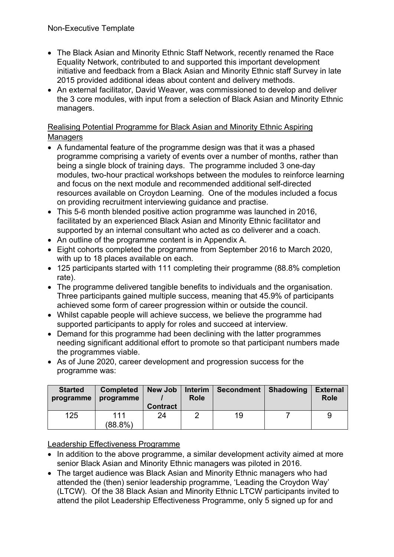- The Black Asian and Minority Ethnic Staff Network, recently renamed the Race Equality Network, contributed to and supported this important development initiative and feedback from a Black Asian and Minority Ethnic staff Survey in late 2015 provided additional ideas about content and delivery methods.
- An external facilitator, David Weaver, was commissioned to develop and deliver the 3 core modules, with input from a selection of Black Asian and Minority Ethnic managers.

### Realising Potential Programme for Black Asian and Minority Ethnic Aspiring **Managers**

- A fundamental feature of the programme design was that it was a phased programme comprising a variety of events over a number of months, rather than being a single block of training days. The programme included 3 one-day modules, two-hour practical workshops between the modules to reinforce learning and focus on the next module and recommended additional self-directed resources available on Croydon Learning. One of the modules included a focus on providing recruitment interviewing guidance and practise.
- This 5-6 month blended positive action programme was launched in 2016, facilitated by an experienced Black Asian and Minority Ethnic facilitator and supported by an internal consultant who acted as co deliverer and a coach.
- An outline of the programme content is in Appendix A.
- Eight cohorts completed the programme from September 2016 to March 2020, with up to 18 places available on each.
- 125 participants started with 111 completing their programme (88.8% completion rate).
- The programme delivered tangible benefits to individuals and the organisation. Three participants gained multiple success, meaning that 45.9% of participants achieved some form of career progression within or outside the council.
- Whilst capable people will achieve success, we believe the programme had supported participants to apply for roles and succeed at interview.
- Demand for this programme had been declining with the latter programmes needing significant additional effort to promote so that participant numbers made the programmes viable.
- As of June 2020, career development and progression success for the programme was:

| <b>Started</b><br>programme | <b>Completed</b><br>programme | <b>New Job</b><br><b>Contract</b> | <b>Interim</b><br><b>Role</b> | <b>Secondment</b> | <b>Shadowing</b> | <b>External</b><br><b>Role</b> |
|-----------------------------|-------------------------------|-----------------------------------|-------------------------------|-------------------|------------------|--------------------------------|
| 125                         | 111<br>$(88.8\%)$             | 24                                |                               | 19                |                  | 9                              |

### Leadership Effectiveness Programme

- In addition to the above programme, a similar development activity aimed at more senior Black Asian and Minority Ethnic managers was piloted in 2016.
- The target audience was Black Asian and Minority Ethnic managers who had attended the (then) senior leadership programme, 'Leading the Croydon Way' (LTCW). Of the 38 Black Asian and Minority Ethnic LTCW participants invited to attend the pilot Leadership Effectiveness Programme, only 5 signed up for and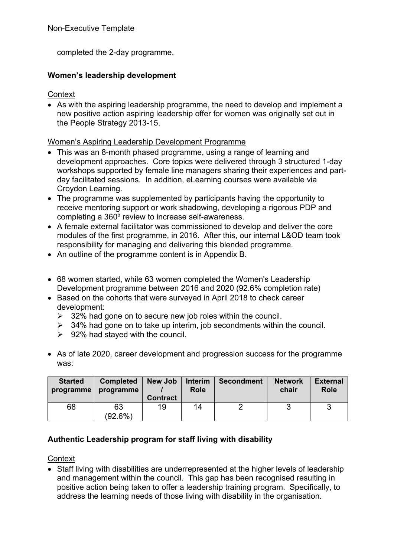completed the 2-day programme.

### **Women's leadership development**

**Context** 

 As with the aspiring leadership programme, the need to develop and implement a new positive action aspiring leadership offer for women was originally set out in the People Strategy 2013-15.

#### Women's Aspiring Leadership Development Programme

- This was an 8-month phased programme, using a range of learning and development approaches. Core topics were delivered through 3 structured 1-day workshops supported by female line managers sharing their experiences and partday facilitated sessions. In addition, eLearning courses were available via Croydon Learning.
- The programme was supplemented by participants having the opportunity to receive mentoring support or work shadowing, developing a rigorous PDP and completing a 360º review to increase self-awareness.
- A female external facilitator was commissioned to develop and deliver the core modules of the first programme, in 2016. After this, our internal L&OD team took responsibility for managing and delivering this blended programme.
- An outline of the programme content is in Appendix B.
- 68 women started, while 63 women completed the Women's Leadership Development programme between 2016 and 2020 (92.6% completion rate)
- Based on the cohorts that were surveyed in April 2018 to check career development:
	- $\geq$  32% had gone on to secure new job roles within the council.
	- $\geq$  34% had gone on to take up interim, job secondments within the council.
	- $\geq$  92% had stayed with the council.
- As of late 2020, career development and progression success for the programme was:

| <b>Started</b> | <b>Completed</b> | <b>New Job</b>  | <b>Interim</b> | <b>Secondment</b> | <b>Network</b> | <b>External</b> |
|----------------|------------------|-----------------|----------------|-------------------|----------------|-----------------|
| programme      | programme        | <b>Contract</b> | <b>Role</b>    |                   | chair          | <b>Role</b>     |
| 68             | 63<br>$(92.6\%)$ | 19              | 14             |                   |                | ્ર              |

### **Authentic Leadership program for staff living with disability**

#### **Context**

 Staff living with disabilities are underrepresented at the higher levels of leadership and management within the council. This gap has been recognised resulting in positive action being taken to offer a leadership training program. Specifically, to address the learning needs of those living with disability in the organisation.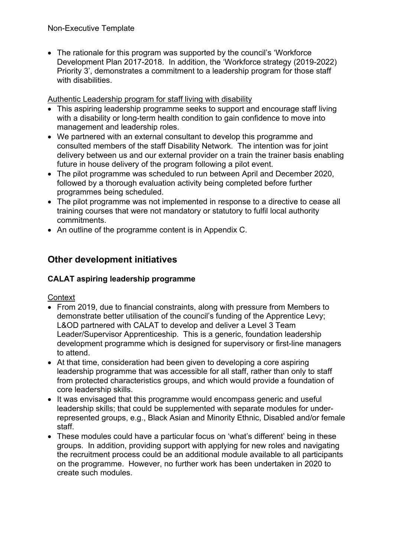• The rationale for this program was supported by the council's 'Workforce' Development Plan 2017-2018. In addition, the 'Workforce strategy (2019-2022) Priority 3', demonstrates a commitment to a leadership program for those staff with disabilities.

Authentic Leadership program for staff living with disability

- This aspiring leadership programme seeks to support and encourage staff living with a disability or long-term health condition to gain confidence to move into management and leadership roles.
- We partnered with an external consultant to develop this programme and consulted members of the staff Disability Network. The intention was for joint delivery between us and our external provider on a train the trainer basis enabling future in house delivery of the program following a pilot event.
- The pilot programme was scheduled to run between April and December 2020, followed by a thorough evaluation activity being completed before further programmes being scheduled.
- The pilot programme was not implemented in response to a directive to cease all training courses that were not mandatory or statutory to fulfil local authority commitments.
- An outline of the programme content is in Appendix C.

# **Other development initiatives**

## **CALAT aspiring leadership programme**

**Context** 

- From 2019, due to financial constraints, along with pressure from Members to demonstrate better utilisation of the council's funding of the Apprentice Levy; L&OD partnered with CALAT to develop and deliver a Level 3 Team Leader/Supervisor Apprenticeship. This is a generic, foundation leadership development programme which is designed for supervisory or first-line managers to attend.
- At that time, consideration had been given to developing a core aspiring leadership programme that was accessible for all staff, rather than only to staff from protected characteristics groups, and which would provide a foundation of core leadership skills.
- It was envisaged that this programme would encompass generic and useful leadership skills; that could be supplemented with separate modules for underrepresented groups, e.g., Black Asian and Minority Ethnic, Disabled and/or female staff.
- These modules could have a particular focus on 'what's different' being in these groups. In addition, providing support with applying for new roles and navigating the recruitment process could be an additional module available to all participants on the programme. However, no further work has been undertaken in 2020 to create such modules.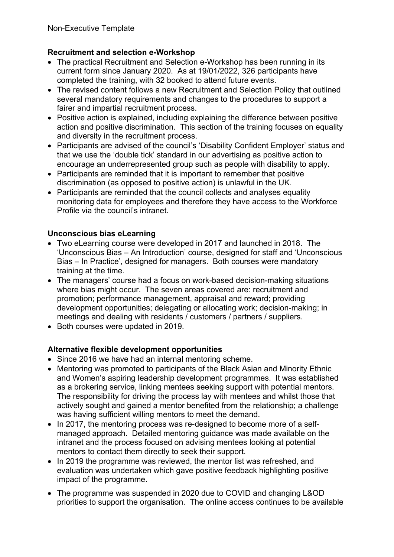## **Recruitment and selection e-Workshop**

- The practical Recruitment and Selection e-Workshop has been running in its current form since January 2020. As at 19/01/2022, 326 participants have completed the training, with 32 booked to attend future events.
- The revised content follows a new Recruitment and Selection Policy that outlined several mandatory requirements and changes to the procedures to support a fairer and impartial recruitment process.
- Positive action is explained, including explaining the difference between positive action and positive discrimination. This section of the training focuses on equality and diversity in the recruitment process.
- Participants are advised of the council's 'Disability Confident Employer' status and that we use the 'double tick' standard in our advertising as positive action to encourage an underrepresented group such as people with disability to apply.
- Participants are reminded that it is important to remember that positive discrimination (as opposed to positive action) is unlawful in the UK.
- Participants are reminded that the council collects and analyses equality monitoring data for employees and therefore they have access to the Workforce Profile via the council's intranet.

## **Unconscious bias eLearning**

- Two eLearning course were developed in 2017 and launched in 2018. The 'Unconscious Bias – An Introduction' course, designed for staff and 'Unconscious Bias – In Practice', designed for managers. Both courses were mandatory training at the time.
- The managers' course had a focus on work-based decision-making situations where bias might occur. The seven areas covered are: recruitment and promotion; performance management, appraisal and reward; providing development opportunities; delegating or allocating work; decision-making; in meetings and dealing with residents / customers / partners / suppliers.
- Both courses were updated in 2019.

## **Alternative flexible development opportunities**

- Since 2016 we have had an internal mentoring scheme.
- Mentoring was promoted to participants of the Black Asian and Minority Ethnic and Women's aspiring leadership development programmes. It was established as a brokering service, linking mentees seeking support with potential mentors. The responsibility for driving the process lay with mentees and whilst those that actively sought and gained a mentor benefited from the relationship; a challenge was having sufficient willing mentors to meet the demand.
- In 2017, the mentoring process was re-designed to become more of a selfmanaged approach. Detailed mentoring guidance was made available on the intranet and the process focused on advising mentees looking at potential mentors to contact them directly to seek their support.
- In 2019 the programme was reviewed, the mentor list was refreshed, and evaluation was undertaken which gave positive feedback highlighting positive impact of the programme.
- The programme was suspended in 2020 due to COVID and changing L&OD priorities to support the organisation. The online access continues to be available